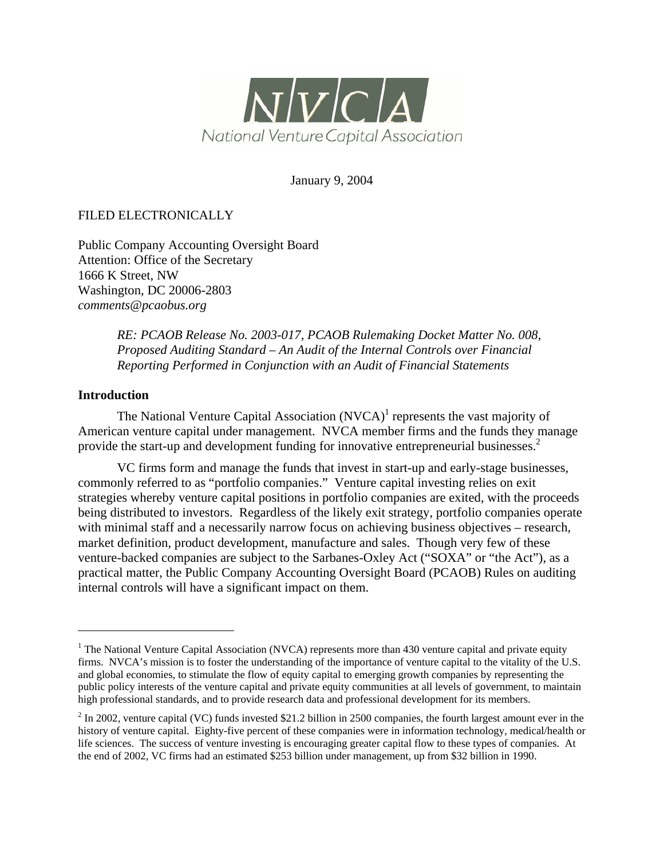

January 9, 2004

## FILED ELECTRONICALLY

Public Company Accounting Oversight Board Attention: Office of the Secretary 1666 K Street, NW Washington, DC 20006-2803 *comments@pcaobus.org* 

> *RE: PCAOB Release No. 2003-017, PCAOB Rulemaking Docket Matter No. 008, Proposed Auditing Standard – An Audit of the Internal Controls over Financial Reporting Performed in Conjunction with an Audit of Financial Statements*

### **Introduction**

1

The National Venture Capital Association  $(NVCA)^1$  represents the vast majority of American venture capital under management. NVCA member firms and the funds they manage provide the start-up and development funding for innovative entrepreneurial businesses.<sup>2</sup>

VC firms form and manage the funds that invest in start-up and early-stage businesses, commonly referred to as "portfolio companies." Venture capital investing relies on exit strategies whereby venture capital positions in portfolio companies are exited, with the proceeds being distributed to investors. Regardless of the likely exit strategy, portfolio companies operate with minimal staff and a necessarily narrow focus on achieving business objectives – research, market definition, product development, manufacture and sales. Though very few of these venture-backed companies are subject to the Sarbanes-Oxley Act ("SOXA" or "the Act"), as a practical matter, the Public Company Accounting Oversight Board (PCAOB) Rules on auditing internal controls will have a significant impact on them.

<sup>&</sup>lt;sup>1</sup> The National Venture Capital Association (NVCA) represents more than 430 venture capital and private equity firms. NVCA's mission is to foster the understanding of the importance of venture capital to the vitality of the U.S. and global economies, to stimulate the flow of equity capital to emerging growth companies by representing the public policy interests of the venture capital and private equity communities at all levels of government, to maintain high professional standards, and to provide research data and professional development for its members.

 $2 \text{ In } 2002$ , venture capital (VC) funds invested \$21.2 billion in 2500 companies, the fourth largest amount ever in the history of venture capital. Eighty-five percent of these companies were in information technology, medical/health or life sciences. The success of venture investing is encouraging greater capital flow to these types of companies. At the end of 2002, VC firms had an estimated \$253 billion under management, up from \$32 billion in 1990.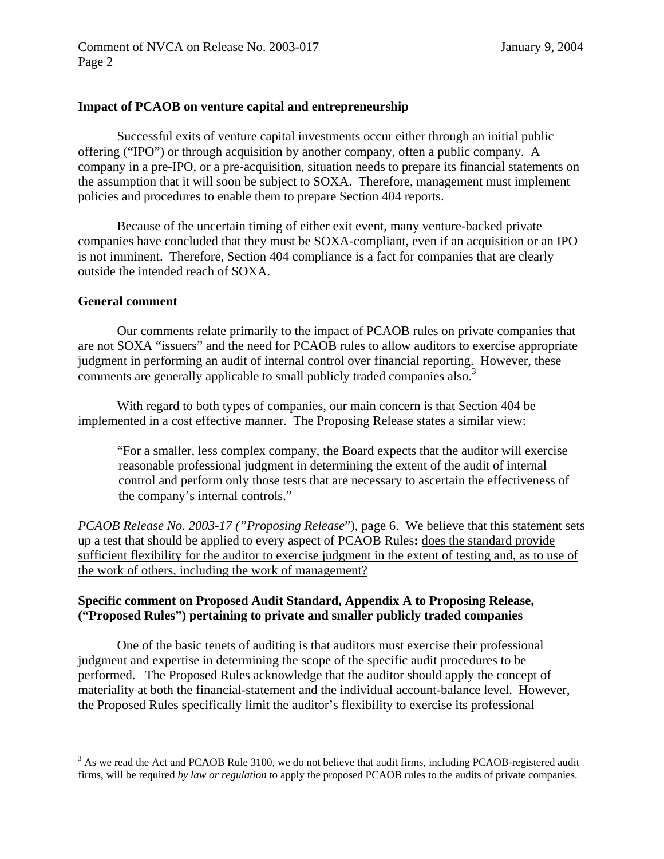### **Impact of PCAOB on venture capital and entrepreneurship**

Successful exits of venture capital investments occur either through an initial public offering ("IPO") or through acquisition by another company, often a public company. A company in a pre-IPO, or a pre-acquisition, situation needs to prepare its financial statements on the assumption that it will soon be subject to SOXA. Therefore, management must implement policies and procedures to enable them to prepare Section 404 reports.

Because of the uncertain timing of either exit event, many venture-backed private companies have concluded that they must be SOXA-compliant, even if an acquisition or an IPO is not imminent. Therefore, Section 404 compliance is a fact for companies that are clearly outside the intended reach of SOXA.

### **General comment**

1

Our comments relate primarily to the impact of PCAOB rules on private companies that are not SOXA "issuers" and the need for PCAOB rules to allow auditors to exercise appropriate judgment in performing an audit of internal control over financial reporting. However, these comments are generally applicable to small publicly traded companies also.<sup>3</sup>

With regard to both types of companies, our main concern is that Section 404 be implemented in a cost effective manner. The Proposing Release states a similar view:

"For a smaller, less complex company, the Board expects that the auditor will exercise reasonable professional judgment in determining the extent of the audit of internal control and perform only those tests that are necessary to ascertain the effectiveness of the company's internal controls."

*PCAOB Release No. 2003-17 ("Proposing Release*"), page 6. We believe that this statement sets up a test that should be applied to every aspect of PCAOB Rules**:** does the standard provide sufficient flexibility for the auditor to exercise judgment in the extent of testing and, as to use of the work of others, including the work of management?

## **Specific comment on Proposed Audit Standard, Appendix A to Proposing Release, ("Proposed Rules") pertaining to private and smaller publicly traded companies**

One of the basic tenets of auditing is that auditors must exercise their professional judgment and expertise in determining the scope of the specific audit procedures to be performed. The Proposed Rules acknowledge that the auditor should apply the concept of materiality at both the financial-statement and the individual account-balance level. However, the Proposed Rules specifically limit the auditor's flexibility to exercise its professional

 $3$  As we read the Act and PCAOB Rule 3100, we do not believe that audit firms, including PCAOB-registered audit firms, will be required *by law or regulation* to apply the proposed PCAOB rules to the audits of private companies.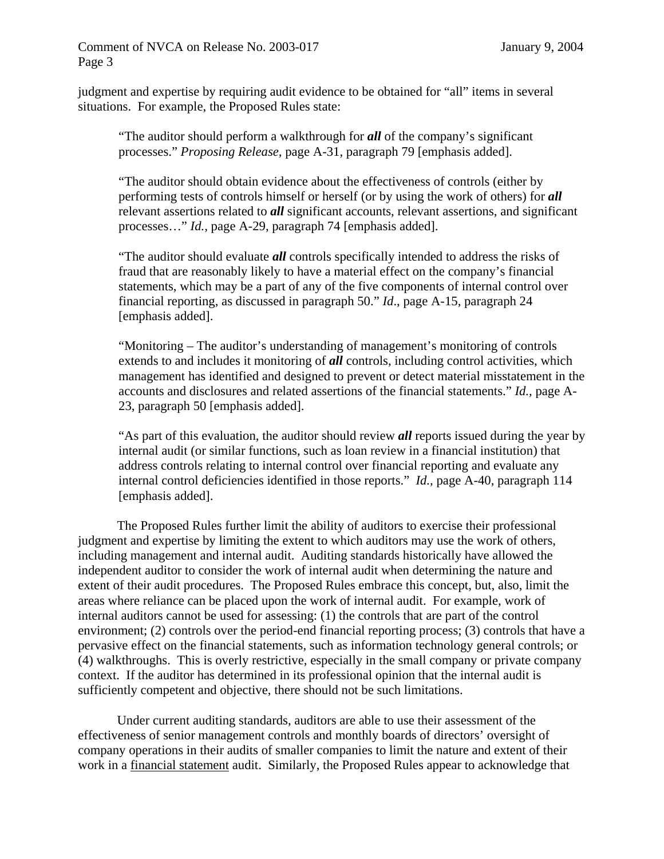# Comment of NVCA on Release No. 2003-017 January 9, 2004 Page 3

judgment and expertise by requiring audit evidence to be obtained for "all" items in several situations. For example, the Proposed Rules state:

"The auditor should perform a walkthrough for *all* of the company's significant processes." *Proposing Release,* page A-31, paragraph 79 [emphasis added].

"The auditor should obtain evidence about the effectiveness of controls (either by performing tests of controls himself or herself (or by using the work of others) for *all* relevant assertions related to *all* significant accounts, relevant assertions, and significant processes…" *Id.,* page A-29, paragraph 74 [emphasis added].

"The auditor should evaluate *all* controls specifically intended to address the risks of fraud that are reasonably likely to have a material effect on the company's financial statements, which may be a part of any of the five components of internal control over financial reporting, as discussed in paragraph 50." *Id*., page A-15, paragraph 24 [emphasis added].

"Monitoring – The auditor's understanding of management's monitoring of controls extends to and includes it monitoring of *all* controls, including control activities, which management has identified and designed to prevent or detect material misstatement in the accounts and disclosures and related assertions of the financial statements." *Id.,* page A-23, paragraph 50 [emphasis added].

"As part of this evaluation, the auditor should review *all* reports issued during the year by internal audit (or similar functions, such as loan review in a financial institution) that address controls relating to internal control over financial reporting and evaluate any internal control deficiencies identified in those reports." *Id.,* page A-40, paragraph 114 [emphasis added].

The Proposed Rules further limit the ability of auditors to exercise their professional judgment and expertise by limiting the extent to which auditors may use the work of others, including management and internal audit. Auditing standards historically have allowed the independent auditor to consider the work of internal audit when determining the nature and extent of their audit procedures. The Proposed Rules embrace this concept, but, also, limit the areas where reliance can be placed upon the work of internal audit. For example, work of internal auditors cannot be used for assessing: (1) the controls that are part of the control environment; (2) controls over the period-end financial reporting process; (3) controls that have a pervasive effect on the financial statements, such as information technology general controls; or (4) walkthroughs. This is overly restrictive, especially in the small company or private company context. If the auditor has determined in its professional opinion that the internal audit is sufficiently competent and objective, there should not be such limitations.

Under current auditing standards, auditors are able to use their assessment of the effectiveness of senior management controls and monthly boards of directors' oversight of company operations in their audits of smaller companies to limit the nature and extent of their work in a financial statement audit. Similarly, the Proposed Rules appear to acknowledge that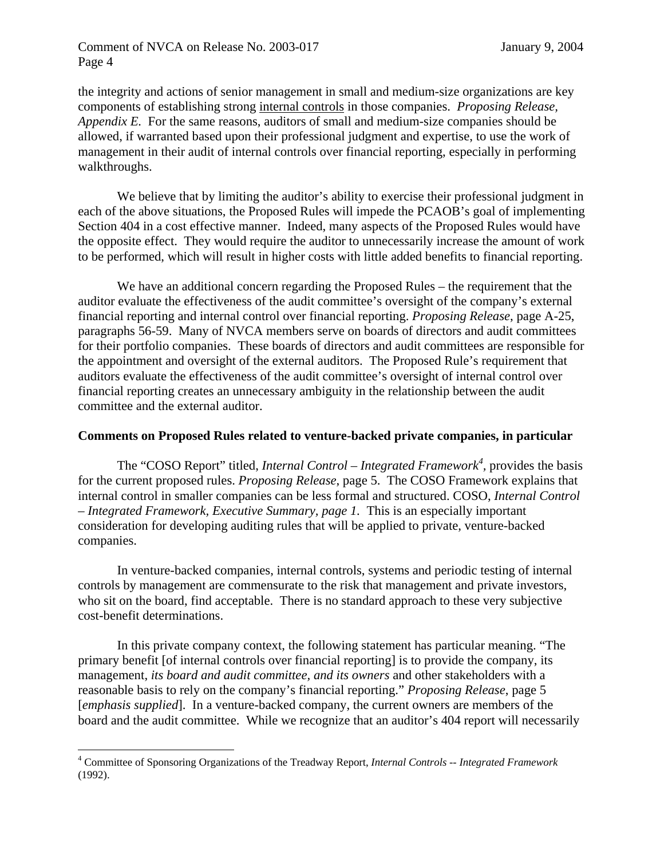the integrity and actions of senior management in small and medium-size organizations are key components of establishing strong internal controls in those companies. *Proposing Release, Appendix E.* For the same reasons, auditors of small and medium-size companies should be allowed, if warranted based upon their professional judgment and expertise, to use the work of management in their audit of internal controls over financial reporting, especially in performing walkthroughs.

We believe that by limiting the auditor's ability to exercise their professional judgment in each of the above situations, the Proposed Rules will impede the PCAOB's goal of implementing Section 404 in a cost effective manner. Indeed, many aspects of the Proposed Rules would have the opposite effect. They would require the auditor to unnecessarily increase the amount of work to be performed, which will result in higher costs with little added benefits to financial reporting.

 We have an additional concern regarding the Proposed Rules – the requirement that the auditor evaluate the effectiveness of the audit committee's oversight of the company's external financial reporting and internal control over financial reporting. *Proposing Release*, page A-25, paragraphs 56-59. Many of NVCA members serve on boards of directors and audit committees for their portfolio companies. These boards of directors and audit committees are responsible for the appointment and oversight of the external auditors. The Proposed Rule's requirement that auditors evaluate the effectiveness of the audit committee's oversight of internal control over financial reporting creates an unnecessary ambiguity in the relationship between the audit committee and the external auditor.

### **Comments on Proposed Rules related to venture-backed private companies, in particular**

The "COSO Report" titled, *Internal Control – Integrated Framework<sup>4</sup> ,* provides the basis for the current proposed rules. *Proposing Release*, page 5. The COSO Framework explains that internal control in smaller companies can be less formal and structured. COSO, *Internal Control – Integrated Framework, Executive Summary, page 1.* This is an especially important consideration for developing auditing rules that will be applied to private, venture-backed companies.

In venture-backed companies, internal controls, systems and periodic testing of internal controls by management are commensurate to the risk that management and private investors, who sit on the board, find acceptable. There is no standard approach to these very subjective cost-benefit determinations.

In this private company context, the following statement has particular meaning. "The primary benefit [of internal controls over financial reporting] is to provide the company, its management, *its board and audit committee, and its owners* and other stakeholders with a reasonable basis to rely on the company's financial reporting." *Proposing Release*, page 5 [*emphasis supplied*]. In a venture-backed company, the current owners are members of the board and the audit committee. While we recognize that an auditor's 404 report will necessarily

 4 Committee of Sponsoring Organizations of the Treadway Report, *Internal Controls -- Integrated Framework* (1992).